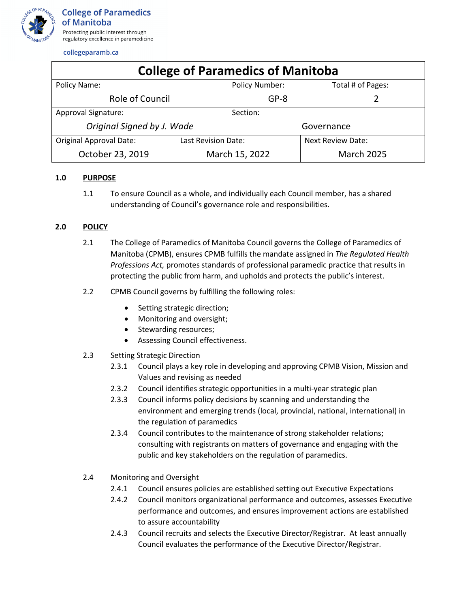

collegeparamb.ca

| <b>College of Paramedics of Manitoba</b> |                     |                       |                          |                   |
|------------------------------------------|---------------------|-----------------------|--------------------------|-------------------|
| Policy Name:                             |                     | <b>Policy Number:</b> |                          | Total # of Pages: |
| Role of Council                          |                     | $GP-8$                |                          |                   |
| Approval Signature:                      |                     | Section:              |                          |                   |
| Original Signed by J. Wade               |                     | Governance            |                          |                   |
| <b>Original Approval Date:</b>           | Last Revision Date: |                       | <b>Next Review Date:</b> |                   |
| October 23, 2019                         | March 15, 2022      |                       | <b>March 2025</b>        |                   |

## **1.0 PURPOSE**

1.1 To ensure Council as a whole, and individually each Council member, has a shared understanding of Council's governance role and responsibilities.

## **2.0 POLICY**

- 2.1 The College of Paramedics of Manitoba Council governs the College of Paramedics of Manitoba (CPMB), ensures CPMB fulfills the mandate assigned in *The Regulated Health Professions Act,* promotes standards of professional paramedic practice that results in protecting the public from harm, and upholds and protects the public's interest.
- 2.2 CPMB Council governs by fulfilling the following roles:
	- Setting strategic direction;
	- Monitoring and oversight;
	- Stewarding resources;
	- Assessing Council effectiveness.
- 2.3 Setting Strategic Direction
	- 2.3.1 Council plays a key role in developing and approving CPMB Vision, Mission and Values and revising as needed
	- 2.3.2 Council identifies strategic opportunities in a multi-year strategic plan
	- 2.3.3 Council informs policy decisions by scanning and understanding the environment and emerging trends (local, provincial, national, international) in the regulation of paramedics
	- 2.3.4 Council contributes to the maintenance of strong stakeholder relations; consulting with registrants on matters of governance and engaging with the public and key stakeholders on the regulation of paramedics.
- 2.4 Monitoring and Oversight
	- 2.4.1 Council ensures policies are established setting out Executive Expectations
	- 2.4.2 Council monitors organizational performance and outcomes, assesses Executive performance and outcomes, and ensures improvement actions are established to assure accountability
	- 2.4.3 Council recruits and selects the Executive Director/Registrar. At least annually Council evaluates the performance of the Executive Director/Registrar.